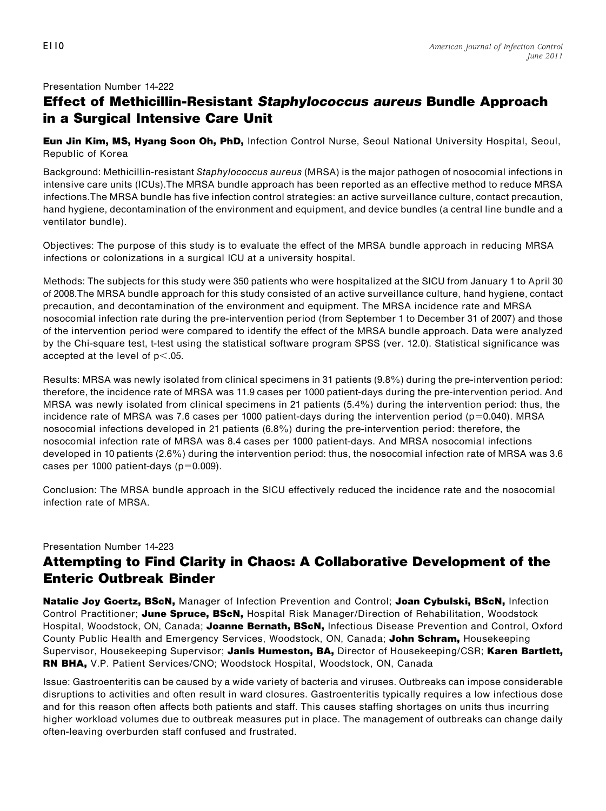#### Presentation Number 14-222

## Effect of Methicillin-Resistant Staphylococcus aureus Bundle Approach in a Surgical Intensive Care Unit

Eun Jin Kim, MS, Hyang Soon Oh, PhD, Infection Control Nurse, Seoul National University Hospital, Seoul, Republic of Korea

Background: Methicillin-resistant Staphylococcus aureus (MRSA) is the major pathogen of nosocomial infections in intensive care units (ICUs).The MRSA bundle approach has been reported as an effective method to reduce MRSA infections.The MRSA bundle has five infection control strategies: an active surveillance culture, contact precaution, hand hygiene, decontamination of the environment and equipment, and device bundles (a central line bundle and a ventilator bundle).

Objectives: The purpose of this study is to evaluate the effect of the MRSA bundle approach in reducing MRSA infections or colonizations in a surgical ICU at a university hospital.

Methods: The subjects for this study were 350 patients who were hospitalized at the SICU from January 1 to April 30 of 2008.The MRSA bundle approach for this study consisted of an active surveillance culture, hand hygiene, contact precaution, and decontamination of the environment and equipment. The MRSA incidence rate and MRSA nosocomial infection rate during the pre-intervention period (from September 1 to December 31 of 2007) and those of the intervention period were compared to identify the effect of the MRSA bundle approach. Data were analyzed by the Chi-square test, t-test using the statistical software program SPSS (ver. 12.0). Statistical significance was accepted at the level of  $p<.05$ .

Results: MRSA was newly isolated from clinical specimens in 31 patients (9.8%) during the pre-intervention period: therefore, the incidence rate of MRSA was 11.9 cases per 1000 patient-days during the pre-intervention period. And MRSA was newly isolated from clinical specimens in 21 patients (5.4%) during the intervention period: thus, the incidence rate of MRSA was 7.6 cases per 1000 patient-days during the intervention period ( $p=0.040$ ). MRSA nosocomial infections developed in 21 patients (6.8%) during the pre-intervention period: therefore, the nosocomial infection rate of MRSA was 8.4 cases per 1000 patient-days. And MRSA nosocomial infections developed in 10 patients (2.6%) during the intervention period: thus, the nosocomial infection rate of MRSA was 3.6 cases per 1000 patient-days ( $p=0.009$ ).

Conclusion: The MRSA bundle approach in the SICU effectively reduced the incidence rate and the nosocomial infection rate of MRSA.

### Presentation Number 14-223 Attempting to Find Clarity in Chaos: A Collaborative Development of the Enteric Outbreak Binder

Natalie Joy Goertz, BScN, Manager of Infection Prevention and Control; Joan Cybulski, BScN, Infection Control Practitioner; June Spruce, BScN, Hospital Risk Manager/Direction of Rehabilitation, Woodstock Hospital, Woodstock, ON, Canada; Joanne Bernath, BScN, Infectious Disease Prevention and Control, Oxford County Public Health and Emergency Services, Woodstock, ON, Canada; John Schram, Housekeeping Supervisor, Housekeeping Supervisor; Janis Humeston, BA, Director of Housekeeping/CSR; Karen Bartlett, RN BHA, V.P. Patient Services/CNO; Woodstock Hospital, Woodstock, ON, Canada

Issue: Gastroenteritis can be caused by a wide variety of bacteria and viruses. Outbreaks can impose considerable disruptions to activities and often result in ward closures. Gastroenteritis typically requires a low infectious dose and for this reason often affects both patients and staff. This causes staffing shortages on units thus incurring higher workload volumes due to outbreak measures put in place. The management of outbreaks can change daily often-leaving overburden staff confused and frustrated.